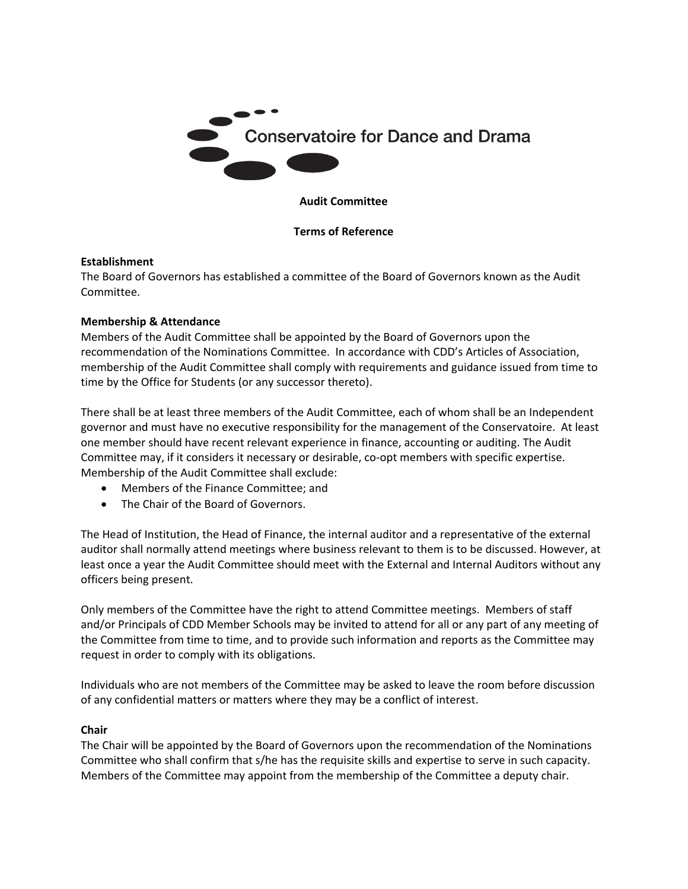

### **Audit Committee**

### **Terms of Reference**

#### **Establishment**

The Board of Governors has established a committee of the Board of Governors known as the Audit Committee.

#### **Membership & Attendance**

Members of the Audit Committee shall be appointed by the Board of Governors upon the recommendation of the Nominations Committee. In accordance with CDD's Articles of Association, membership of the Audit Committee shall comply with requirements and guidance issued from time to time by the Office for Students (or any successor thereto).

There shall be at least three members of the Audit Committee, each of whom shall be an Independent governor and must have no executive responsibility for the management of the Conservatoire. At least one member should have recent relevant experience in finance, accounting or auditing. The Audit Committee may, if it considers it necessary or desirable, co-opt members with specific expertise. Membership of the Audit Committee shall exclude:

- Members of the Finance Committee; and
- The Chair of the Board of Governors.

The Head of Institution, the Head of Finance, the internal auditor and a representative of the external auditor shall normally attend meetings where business relevant to them is to be discussed. However, at least once a year the Audit Committee should meet with the External and Internal Auditors without any officers being present.

Only members of the Committee have the right to attend Committee meetings. Members of staff and/or Principals of CDD Member Schools may be invited to attend for all or any part of any meeting of the Committee from time to time, and to provide such information and reports as the Committee may request in order to comply with its obligations.

Individuals who are not members of the Committee may be asked to leave the room before discussion of any confidential matters or matters where they may be a conflict of interest.

#### **Chair**

The Chair will be appointed by the Board of Governors upon the recommendation of the Nominations Committee who shall confirm that s/he has the requisite skills and expertise to serve in such capacity. Members of the Committee may appoint from the membership of the Committee a deputy chair.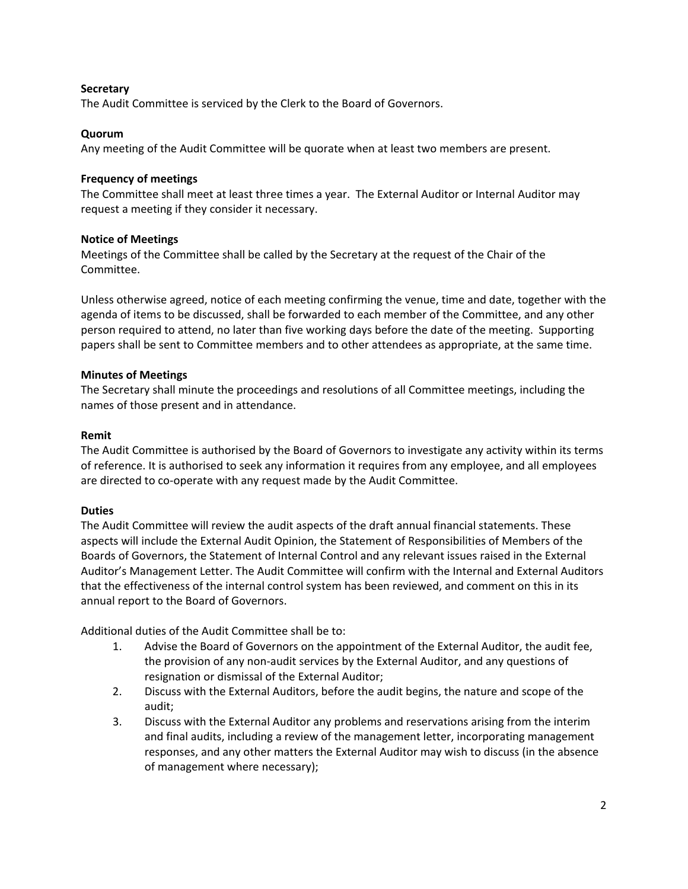### **Secretary**

The Audit Committee is serviced by the Clerk to the Board of Governors.

### **Quorum**

Any meeting of the Audit Committee will be quorate when at least two members are present.

### **Frequency of meetings**

The Committee shall meet at least three times a year. The External Auditor or Internal Auditor may request a meeting if they consider it necessary.

### **Notice of Meetings**

Meetings of the Committee shall be called by the Secretary at the request of the Chair of the Committee.

Unless otherwise agreed, notice of each meeting confirming the venue, time and date, together with the agenda of items to be discussed, shall be forwarded to each member of the Committee, and any other person required to attend, no later than five working days before the date of the meeting. Supporting papers shall be sent to Committee members and to other attendees as appropriate, at the same time.

### **Minutes of Meetings**

The Secretary shall minute the proceedings and resolutions of all Committee meetings, including the names of those present and in attendance.

### **Remit**

The Audit Committee is authorised by the Board of Governors to investigate any activity within its terms of reference. It is authorised to seek any information it requires from any employee, and all employees are directed to co-operate with any request made by the Audit Committee.

### **Duties**

The Audit Committee will review the audit aspects of the draft annual financial statements. These aspects will include the External Audit Opinion, the Statement of Responsibilities of Members of the Boards of Governors, the Statement of Internal Control and any relevant issues raised in the External Auditor's Management Letter. The Audit Committee will confirm with the Internal and External Auditors that the effectiveness of the internal control system has been reviewed, and comment on this in its annual report to the Board of Governors.

Additional duties of the Audit Committee shall be to:

- 1. Advise the Board of Governors on the appointment of the External Auditor, the audit fee, the provision of any non-audit services by the External Auditor, and any questions of resignation or dismissal of the External Auditor;
- 2. Discuss with the External Auditors, before the audit begins, the nature and scope of the audit;
- 3. Discuss with the External Auditor any problems and reservations arising from the interim and final audits, including a review of the management letter, incorporating management responses, and any other matters the External Auditor may wish to discuss (in the absence of management where necessary);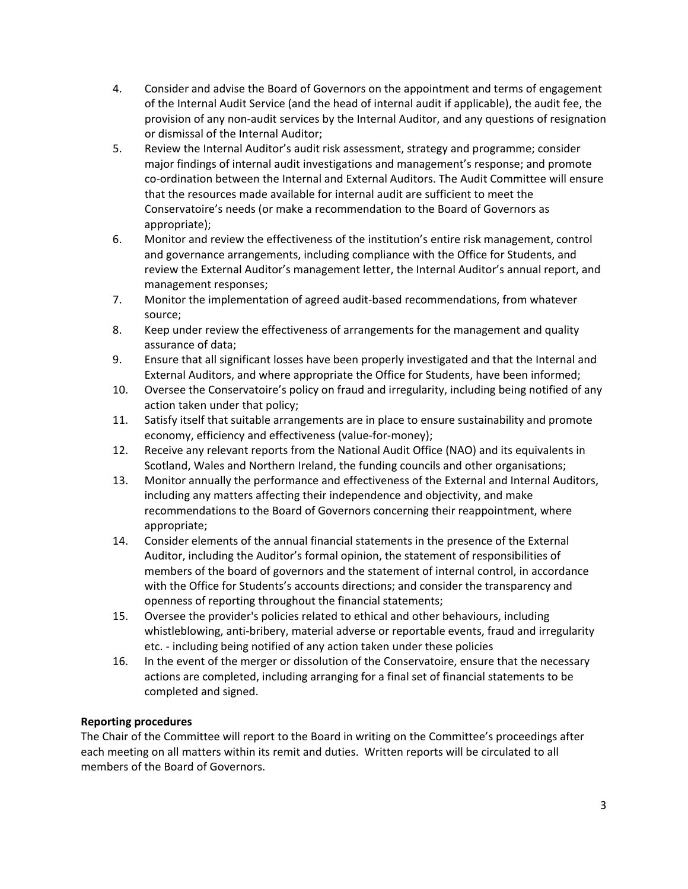- 4. Consider and advise the Board of Governors on the appointment and terms of engagement of the Internal Audit Service (and the head of internal audit if applicable), the audit fee, the provision of any non-audit services by the Internal Auditor, and any questions of resignation or dismissal of the Internal Auditor;
- 5. Review the Internal Auditor's audit risk assessment, strategy and programme; consider major findings of internal audit investigations and management's response; and promote co-ordination between the Internal and External Auditors. The Audit Committee will ensure that the resources made available for internal audit are sufficient to meet the Conservatoire's needs (or make a recommendation to the Board of Governors as appropriate);
- 6. Monitor and review the effectiveness of the institution's entire risk management, control and governance arrangements, including compliance with the Office for Students, and review the External Auditor's management letter, the Internal Auditor's annual report, and management responses;
- 7. Monitor the implementation of agreed audit-based recommendations, from whatever source;
- 8. Keep under review the effectiveness of arrangements for the management and quality assurance of data;
- 9. Ensure that all significant losses have been properly investigated and that the Internal and External Auditors, and where appropriate the Office for Students, have been informed;
- 10. Oversee the Conservatoire's policy on fraud and irregularity, including being notified of any action taken under that policy;
- 11. Satisfy itself that suitable arrangements are in place to ensure sustainability and promote economy, efficiency and effectiveness (value-for-money);
- 12. Receive any relevant reports from the National Audit Office (NAO) and its equivalents in Scotland, Wales and Northern Ireland, the funding councils and other organisations;
- 13. Monitor annually the performance and effectiveness of the External and Internal Auditors, including any matters affecting their independence and objectivity, and make recommendations to the Board of Governors concerning their reappointment, where appropriate;
- 14. Consider elements of the annual financial statements in the presence of the External Auditor, including the Auditor's formal opinion, the statement of responsibilities of members of the board of governors and the statement of internal control, in accordance with the Office for Students's accounts directions; and consider the transparency and openness of reporting throughout the financial statements;
- 15. Oversee the provider's policies related to ethical and other behaviours, including whistleblowing, anti-bribery, material adverse or reportable events, fraud and irregularity etc. - including being notified of any action taken under these policies
- 16. In the event of the merger or dissolution of the Conservatoire, ensure that the necessary actions are completed, including arranging for a final set of financial statements to be completed and signed.

# **Reporting procedures**

The Chair of the Committee will report to the Board in writing on the Committee's proceedings after each meeting on all matters within its remit and duties. Written reports will be circulated to all members of the Board of Governors.